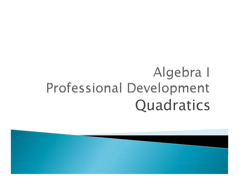# Algebra I Professional Development Quadratics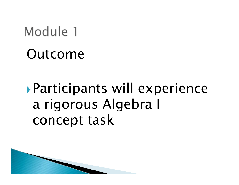Module 1

# Outcome

# Participants will experience a rigorous Algebra I concept task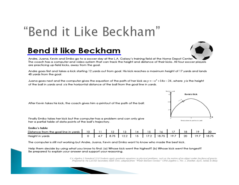# "Bend it Like Beckham"

#### **Bend it like Beckham**

Andre, Juana, Kevin and Emiko go to a soccer day at the L.A. Galaxy's training field at the Home Depot Center The coach has a computer and video system that can track the height and distance of their kicks. All four soccer players are practicing up-field kicks, away from the goal.

Andre goes first and takes a kick starting 12 vards out from goal. His kick reaches a maximum height of 17 vards and lands 48 yards from the goal.

Juana goes next and the computer gives the equation of the path of her kick as  $y = -x^2 + 14x - 24$ , where yis the height of the ball in yards and x is the horizontal distance of the ball from the goal line in yards.

After Kevin takes his kick, the coach gives him a printout of the path of the ball:



Finally Emiko takes her kick but the computer has a problem and can only give her a partial table of data points of the ball's trajectory.

. . . . . .

| Emiko's table                                                                               |  |  |  |                                                  |  |  |
|---------------------------------------------------------------------------------------------|--|--|--|--------------------------------------------------|--|--|
| Distance from the goal line in yards   10   11   12   13   14   15   16   17   18   19   20 |  |  |  |                                                  |  |  |
| Height in yards                                                                             |  |  |  | 0 4.7 8.75 12.2 15 17.2 18.75 19.7 20 19.7 18.75 |  |  |

The computer is still not working but Andre, Juana, Kevin and Emiko want to know who made the best kick.

Help them decide by using what you know to find: (a) Whose kick went the highest? (b) Whose kick went the longest? Be prepared to explain your answer and support your reasoning.

> CA Algebra 1 Standard 23.0 Students apply quadratic equations to physical problems, such as the motion of an object under the force of gravity. Prepared by the LAUSD Secondary Math Unit; Adapted from "Water-Balloon Contest" CPM Algebra 1, Vol. 2, Dietiker, Kysh, Sallee & Hoey

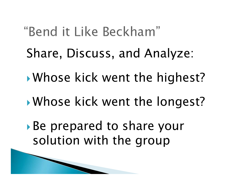"Bend it Like Beckham" Share, Discuss, and Analyze:

 $\blacktriangleright$ Whose kick went the highest?

 $\blacktriangleright$ Whose kick went the longest?

 Be prepared to share your solution with the group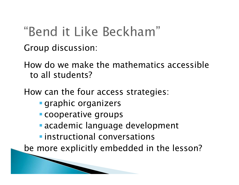## "Bend it Like Beckham"

Group discussion:

How do we make the mathematics accessible to all students?

How can the four access strategies:

- graphic organizers
- **Cooperative groups**
- academic language development
- **·** instructional conversations

be more explicitly embedded in the lesson?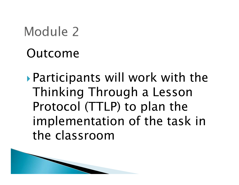## Module 2

### Outcome

 Participants will work with the Thinking Through a Lesson Protocol (TTLP) to plan the implementation of the task in the classroom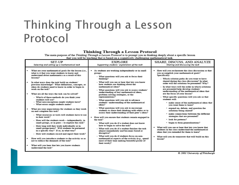### Thinking Through a Lesson Protocol

#### **Thinking Through a Lesson Protocol**

The main purpose of the Thinking Through a Lesson Protocol is to prompt you in thinking deeply about a specific lesson that you will be teaching that is based on a cognitively challenging mathematical task.

| <b>SET-UP</b><br>Selecting and setting up a mathematical task                                                                                                                                                                                                                                                                                                                                                                                                                                                                                                                                                                                                                                                                                                                                                                                                                                                                                                                                                                                                                                                                                                                                                                   | <b>EXPLORE</b><br>Supporting students' exploration of the task                                                                                                                                                                                                                                                                                                                                                                                                                                                                                                                                                                                                                                                                                                                                                                                                                                                                                                                                                                                                                                                    | SHARE, DISCUSS, AND ANALYZE<br>Sharing and discussing the task                                                                                                                                                                                                                                                                                                                                                                                                                                                                                                                                                                                                                                                                                                                                                                                                                                                                                                                                                                   |
|---------------------------------------------------------------------------------------------------------------------------------------------------------------------------------------------------------------------------------------------------------------------------------------------------------------------------------------------------------------------------------------------------------------------------------------------------------------------------------------------------------------------------------------------------------------------------------------------------------------------------------------------------------------------------------------------------------------------------------------------------------------------------------------------------------------------------------------------------------------------------------------------------------------------------------------------------------------------------------------------------------------------------------------------------------------------------------------------------------------------------------------------------------------------------------------------------------------------------------|-------------------------------------------------------------------------------------------------------------------------------------------------------------------------------------------------------------------------------------------------------------------------------------------------------------------------------------------------------------------------------------------------------------------------------------------------------------------------------------------------------------------------------------------------------------------------------------------------------------------------------------------------------------------------------------------------------------------------------------------------------------------------------------------------------------------------------------------------------------------------------------------------------------------------------------------------------------------------------------------------------------------------------------------------------------------------------------------------------------------|----------------------------------------------------------------------------------------------------------------------------------------------------------------------------------------------------------------------------------------------------------------------------------------------------------------------------------------------------------------------------------------------------------------------------------------------------------------------------------------------------------------------------------------------------------------------------------------------------------------------------------------------------------------------------------------------------------------------------------------------------------------------------------------------------------------------------------------------------------------------------------------------------------------------------------------------------------------------------------------------------------------------------------|
| What are your mathematical goals for the lesson (i.e.,<br>what is it that you want students to know and<br>understand about mathematics as a result of this<br>lesson)?<br>In what ways does the task build on students'<br>previous knowledge? What definitions, concepts, or<br>ideas do students need to know in order to begin to<br>work on the task?<br>What are all the ways the task can be solved?<br>۰.<br>- Which of these methods do you think your<br>students will use?<br>- What misconceptions might students have?<br>- What errors might students make?<br>What are your expectations for students as they work<br>on and complete this task?<br>- What resources or tools will students have to use<br>in their work?<br>- How will the students work - independently, in<br>small groups, or in pairs - to explore this task?<br>- How long will they work individually or in<br>small groups/pairs? Will students be partnered<br>in a specific way? If so, in what way?<br>- How will students record and report their work?<br>How will you introduce students to the activity so as<br>not to reduce the demands of the task?<br>What will you hear that lets you know students<br>understand the task? | As students are working independently or in small<br>groups:<br>- What questions will you ask to focus their<br>thinking?<br>- What will you see or hear that lets you know<br>how students are thinking about the<br>mathematical ideas?<br>- What questions will you ask to assess students'<br>understanding of key mathematical ideas,<br>problem solving strategies, or the<br>representations?<br>- What questions will you ask to advance<br>students' understanding of the mathematical<br>ideas?<br>- What questions will you ask to encourage<br>students to share their thinking with others or to<br>assess their understanding of their peer's ideas?<br>• How will you ensure that students remain engaged in<br>the task?<br>- What will you do if a student does not know<br>how to begin to solve the task?<br>- What will you do if a student finishes the task<br>almost immediately and becomes bored or<br>disruptive?<br>- What will you do if students focus on non-<br>mathematical aspects of the activity (e.g., spend<br>most of their time making beautiful poster of<br>their work)? | How will you orchestrate the class discussion so that<br>you accomplish your mathematical goals?<br>Specifically:<br>- Which solution paths do you want to have<br>shared during the class discussion? In what<br>order will the solutions be presented? Why?<br>- In what ways will the order in which solutions<br>are presented help develop students'<br>understanding of the mathematical ideas that<br>are the focus of your lesson?<br>- What specific questions will you ask so that<br>students will:<br>' make sense of the mathematical ideas that<br>you want them to learn?<br>· expand on, debate, and question the<br>solutions being shared?<br>make connections between the different<br>strategies that are presented?<br>· look for patterns?<br>• begin to form generalizations?<br>. What will you see or hear that lets you know that<br>students in the class understand the mathematical<br>ideas that you intended for them to learn?<br>. What will you do tomorrow that will build on this<br>lesson? |
|                                                                                                                                                                                                                                                                                                                                                                                                                                                                                                                                                                                                                                                                                                                                                                                                                                                                                                                                                                                                                                                                                                                                                                                                                                 |                                                                                                                                                                                                                                                                                                                                                                                                                                                                                                                                                                                                                                                                                                                                                                                                                                                                                                                                                                                                                                                                                                                   |                                                                                                                                                                                                                                                                                                                                                                                                                                                                                                                                                                                                                                                                                                                                                                                                                                                                                                                                                                                                                                  |

@ 2001 University of Pittsburgh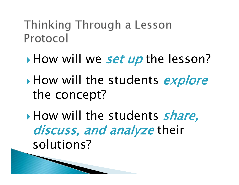Thinking Through a Lesson Protocol

- How will we set up the lesson?
- How will the students explore the concept?
- How will the students *share*, discuss, and analyze their solutions?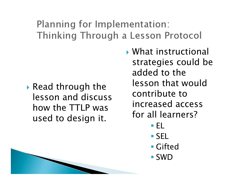#### Planning for Implementation: Thinking Through a Lesson Protocol

- $\blacktriangleright$  Read through the lesson and discuss how the TTLP was used to design it.
- What instructional strategies could be added to the lesson that would contribute to increased access for all learners?
	- EL
	- SEL
	- **Gifted**
	- SWD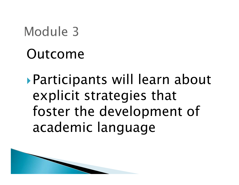### Module 3

# Outcome

Participants will learn about explicit strategies that foster the development of academic language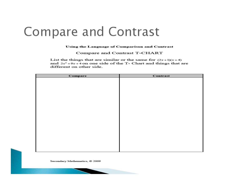### Compare and Contrast

#### **Using the Language of Comparison and Contrast**

Compare and Contrast T-CHART

List the things that are similar or the same for  $(2x+1)(x+4)$ and  $2x^2 + 9x + 4$  on one side of the T- Chart and things that are different on other side.

| Compare | Contrast |
|---------|----------|
|         |          |
|         |          |
|         |          |
|         |          |
|         |          |
|         |          |
|         |          |
|         |          |
|         |          |
|         |          |
|         |          |
|         |          |
|         |          |
|         |          |
|         |          |
|         |          |
|         |          |
|         |          |
|         |          |
|         |          |
|         |          |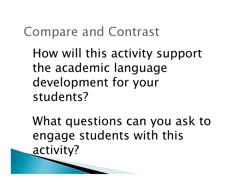## Compare and Contrast

How will this activity support the academic language development for your students?

What questions can you ask to engage students with this activity?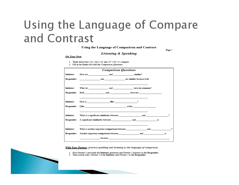#### Using the Language of Comparison and Contrast

Page 1

#### **Listening & Speaking**

#### **On Your Own**

1. Think about how  $(2x+1)(x+4)$  and  $2x^2+9x+4$  compare.

2. Fill in the blanks for both the Comparison Questions.

|            |                                                                                                                                                                                                                                | <b>Comparison Questions</b> |  |  |  |  |
|------------|--------------------------------------------------------------------------------------------------------------------------------------------------------------------------------------------------------------------------------|-----------------------------|--|--|--|--|
| Initiator: | How are <b>and</b> similar?                                                                                                                                                                                                    |                             |  |  |  |  |
|            | Responder: and and are similar because both                                                                                                                                                                                    |                             |  |  |  |  |
| Initiator: | What do and have in common?                                                                                                                                                                                                    |                             |  |  |  |  |
|            | Responder: Both and and have/are                                                                                                                                                                                               |                             |  |  |  |  |
| Initiator: |                                                                                                                                                                                                                                |                             |  |  |  |  |
|            | Responder: Like is a set of the set of the set of the set of the set of the set of the set of the set of the set of the set of the set of the set of the set of the set of the set of the set of the set of the set of the set |                             |  |  |  |  |
| Initiator: | <u> 1989 - Andrea Santa Andrea Andrea Andrea Andrea Andrea Andrea Andrea Andrea Andrea Andrea Andrea Andrea Andr</u>                                                                                                           |                             |  |  |  |  |
|            | Responder: A significant similarity between and and the significant similarity between and the same is                                                                                                                         |                             |  |  |  |  |
| Initiator: | <u> 1989 - Andrea Santa Andrea Andrea Andrea Andrea Andrea Andrea Andrea Andrea Andrea Andrea Andrea Andrea Andr</u>                                                                                                           |                             |  |  |  |  |
|            |                                                                                                                                                                                                                                |                             |  |  |  |  |
|            | <b>because <i>because because because because because because because</i></b>                                                                                                                                                  |                             |  |  |  |  |

With Your Partner: practice speaking and listening to the language of comparison.

- 1. First Partner 1 one reads the Initiator questions and Partner 2 answers as the Responder.
- 2. Then switch roles: Partner 2 is the Initiator and Partner 1 is the Responder.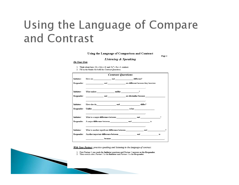#### Using the Language of Comparison and Contrast

Page 2

#### **Listening & Speaking**

#### **On Your Own**

1. Think about how  $(2x+1)(x+4)$  and  $2x^2+9x+4$  contrast.

2. Fill in the blanks for both the Contrast Ouestions.

|                  | <b>Contrast Ouestions</b>                                                                                                                                                                                                      |  |  |  |  |
|------------------|--------------------------------------------------------------------------------------------------------------------------------------------------------------------------------------------------------------------------------|--|--|--|--|
| Initiator:       | How are <b>and</b> and <b>different?</b>                                                                                                                                                                                       |  |  |  |  |
|                  |                                                                                                                                                                                                                                |  |  |  |  |
| Initiator:       |                                                                                                                                                                                                                                |  |  |  |  |
|                  | Responder: and and are dissimilar because                                                                                                                                                                                      |  |  |  |  |
|                  |                                                                                                                                                                                                                                |  |  |  |  |
| Initiator:       | How else do <b>and</b> and <b>differ?</b>                                                                                                                                                                                      |  |  |  |  |
|                  |                                                                                                                                                                                                                                |  |  |  |  |
|                  | and the control of the control of the control of the control of the control of the control of the control of the                                                                                                               |  |  |  |  |
| <b>Initiator</b> | What is a major difference between the canonic and the control of the control of the control of the control of the control of the control of the control of the control of the control of the control of the control of the co |  |  |  |  |
|                  | Responder: A major difference between and and is                                                                                                                                                                               |  |  |  |  |
|                  | and the state of the state of the state of the state of the state of the state of the state of the                                                                                                                             |  |  |  |  |
| Initiator:       | What is another significant difference between and and 2                                                                                                                                                                       |  |  |  |  |
|                  |                                                                                                                                                                                                                                |  |  |  |  |
|                  |                                                                                                                                                                                                                                |  |  |  |  |
|                  |                                                                                                                                                                                                                                |  |  |  |  |

With Your Partner: practice speaking and listening to the language of contrast.

- 1. First Partner 1 one reads the Initiator questions and Partner 2 answers as the Responder.
- 2. Then switch roles: Partner 2 is the Initiator and Partner 1 is the Responder.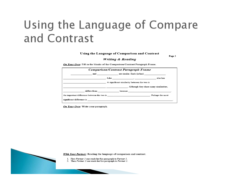#### Using the Language of Comparison and Contrast

Page 3

#### **Writing & Reading**

On Your Own: Fill in the blanks of the Comparison/Contrast Paragraph Frame.

| <b>Comparison/Contrast Paragraph Frame</b>                                                                                                                                                                                     |                                |                                                                                                                                                                                                                                |                                          |  |  |
|--------------------------------------------------------------------------------------------------------------------------------------------------------------------------------------------------------------------------------|--------------------------------|--------------------------------------------------------------------------------------------------------------------------------------------------------------------------------------------------------------------------------|------------------------------------------|--|--|
|                                                                                                                                                                                                                                | and are similar. Each (is/has) |                                                                                                                                                                                                                                |                                          |  |  |
|                                                                                                                                                                                                                                |                                | . Like the contract of the contract of the contract of the contract of the contract of the contract of the contract of the contract of the contract of the contract of the contract of the contract of the contract of the con | also has                                 |  |  |
|                                                                                                                                                                                                                                |                                | . A significant similarity between the two is                                                                                                                                                                                  |                                          |  |  |
|                                                                                                                                                                                                                                |                                |                                                                                                                                                                                                                                | . Although they share many similarities, |  |  |
| differs from                                                                                                                                                                                                                   |                                | because the contract of the contract of the contract of the contract of the contract of the contract of the contract of the contract of the contract of the contract of the contract of the contract of the contract of the co |                                          |  |  |
| An important difference between the two is the control of the control of the most of the control of the most of the control of the most of the most of the most of the most of the most of the most of the most of the most of |                                |                                                                                                                                                                                                                                |                                          |  |  |
| significant difference is                                                                                                                                                                                                      |                                |                                                                                                                                                                                                                                |                                          |  |  |

On Your Own: Write your paragraph.

With Your Partner: Reading the language of comparison and contrast.

- 1. First Partner 1 one reads her/his paragraph to Partner 2.
- 2. Then Partner 2 one reads her/his paragraph to Partner 1.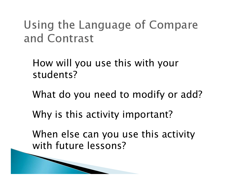How will you use this with your students?

What do you need to modify or add?

Why is this activity important?

When else can you use this activity with future lessons?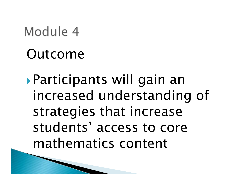### Module 4

# Outcome

Participants will gain an increased understanding of strategies that increase students' access to core mathematics content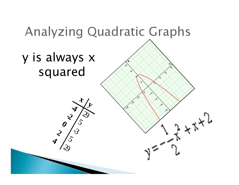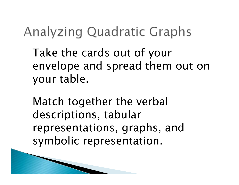Take the cards out of your envelope and spread them out on your table.

Match together the verbal descriptions, tabular representations, graphs, and symbolic representation.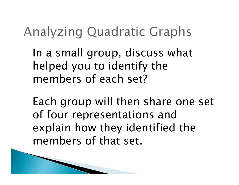In a small group, discuss what helped you to identify the members of each set?

Each group will then share one set of four representations and explain how they identified the members of that set.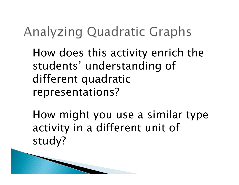How does this activity enrich the students' understanding of different quadratic representations?

How might you use a similar type activity in a different unit of study?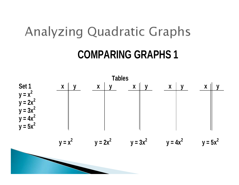### **COMPARING GRAPHS 1**

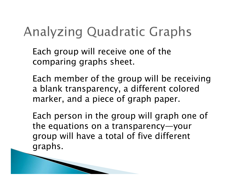Each group will receive one of the comparing graphs sheet.

Each member of the group will be receiving a blank transparency, a different colored marker, and a piece of graph paper.

Each person in the group will graph one of the equations on a transparency—your group will have a total of five different graphs.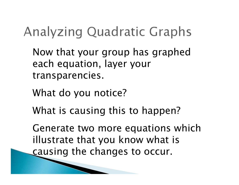Now that your group has graphed each equation, layer your transparencies.

What do you notice?

What is causing this to happen?

Generate two more equations which illustrate that you know what is causing the changes to occur.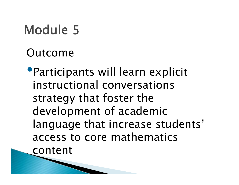# Module 5

#### Outcome

•Participants will learn explicit instructional conversations strategy that foster the development of academic language that increase students' access to core mathematics content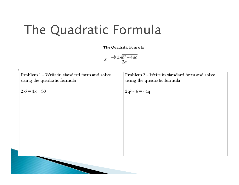### The Quadratic Formula

The Quadratic Formula

|   | $x=\frac{-b\pm\sqrt{b^2-4ac}}{2}$                                           |                                                                             |  |  |  |  |  |
|---|-----------------------------------------------------------------------------|-----------------------------------------------------------------------------|--|--|--|--|--|
| 扛 |                                                                             |                                                                             |  |  |  |  |  |
|   | Problem 1 - Write in standard form and solve<br>using the quadratic formula | Problem 2 - Write in standard form and solve<br>using the quadratic formula |  |  |  |  |  |
|   | $2x^2 = 4x + 30$                                                            | $2q^2 - 6 = -4q$                                                            |  |  |  |  |  |
|   |                                                                             |                                                                             |  |  |  |  |  |
|   |                                                                             |                                                                             |  |  |  |  |  |
|   |                                                                             |                                                                             |  |  |  |  |  |
|   |                                                                             |                                                                             |  |  |  |  |  |
|   |                                                                             |                                                                             |  |  |  |  |  |
|   |                                                                             |                                                                             |  |  |  |  |  |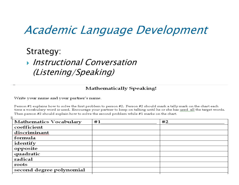#### Academic Language Development

#### Strategy:

#### **Instructional Conversation** (Listening/Speaking)

#### **Mathematically Speaking!**

#### Write your name and your partner's name.

Person #1 explains how to solve the first problem to person #2. Person #2 should mark a tally mark on the chart each time a vocabulary word is used. Encourage your partner to keep on talking until he or she has used all the target words. Then person #2 should explain how to solve the second problem while #1 marks on the chart.

| <b>Mathematics Vocabulary</b> | #1 | #2 |
|-------------------------------|----|----|
| coefficient                   |    |    |
| discriminant                  |    |    |
| formula                       |    |    |
| identify                      |    |    |
| 'opposite                     |    |    |
| quadratic                     |    |    |
| radical                       |    |    |
| roots                         |    |    |
| second degree polynomial      |    |    |
|                               |    |    |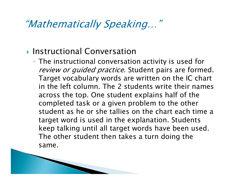#### "Mathematically Speaking…"

#### **Instructional Conversation**

◦ The instructional conversation activity is used for review or quided practice. Student pairs are formed. Target vocabulary words are written on the IC chart in the left column. The 2 students write their names across the top. One student explains half of the completed task or a given problem to the other student as he or she tallies on the chart each time a target word is used in the explanation. Students keep talking until all target words have been used. The other student then takes a turn doing the same.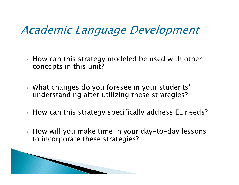#### Academic Language Development

- How can this strategy modeled be used with other concepts in this unit?
- What changes do you foresee in your students' understanding after utilizing these strategies?
- How can this strategy specifically address EL needs?
- How will you make time in your day-to-day lessons to incorporate these strategies?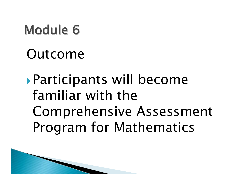# Module 6

# Outcome

Participants will become familiar with the Comprehensive Assessment Program for Mathematics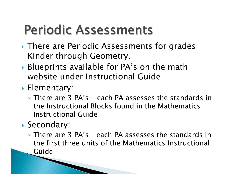## Periodic Assessments Periodic Assessments

- There are Periodic Assessments for grades Kinder through Geometry.
- Blueprints available for PA's on the math website under Instructional Guide
- Elementary:
	- ∘ There are 3 PA's each PA assesses the standards in  $\overline{\phantom{a}}$ the Instructional Blocks found in the Mathematics Instructional Guide

#### Secondary:

◦ There are 3 PA's – each PA assesses the standards in the first three units of the Mathematics Instructional Guide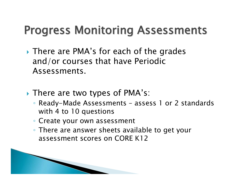### Progress Monitoring Assessments

- There are PMA's for each of the grades and/or courses that have Periodic Assessments.
- There are two types of PMA's:
	- Ready-Made Assessments assess 1 or 2 standards with 4 to 10 questions
	- Create your own assessment
	- There are answer sheets available to get your assessment scores on CORE K12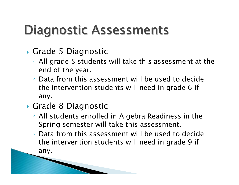# Diagnostic Assessments

- Grade 5 Diagnostic
	- All grade 5 students will take this assessment at the end of the year.
	- Data from this assessment will be used to decide the intervention students will need in grade 6 if any.

#### Grade 8 Diagnostic

- All students enrolled in Algebra Readiness in the Spring semester will take this assessment.
- Data from this assessment will be used to decide the intervention students will need in grade 9 if any.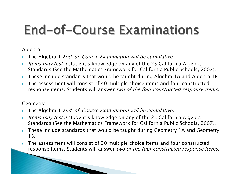# End-of-Course Examinations

Algebra 1

▶ The Algebra 1 *End-of-Course Examination will be cumulative.* 

- ▶ Items may test a student's knowledge on any of the 25 California Algebra 1 Standards (See the Mathematics Framework for California Public Schools, 2007).
- ▶ These include standards that would be taught during Algebra 1A and Algebra 1B.
- ▶ The assessment will consist of 40 multiple choice items and four constructed response items. Students will answer two of the four constructed response items.

#### Geometry

- ▶ The Algebra 1 *End-of-Course Examination will be cumulative.*
- ▶ Items may test a student's knowledge on any of the 25 California Algebra 1 Standards (See the Mathematics Framework for California Public Schools, 2007).
- ▶ These include standards that would be taught during Geometry 1A and Geometry 1B.
- ▶ The assessment will consist of 30 multiple choice items and four constructed response items. Students will answer two of the four constructed response items.